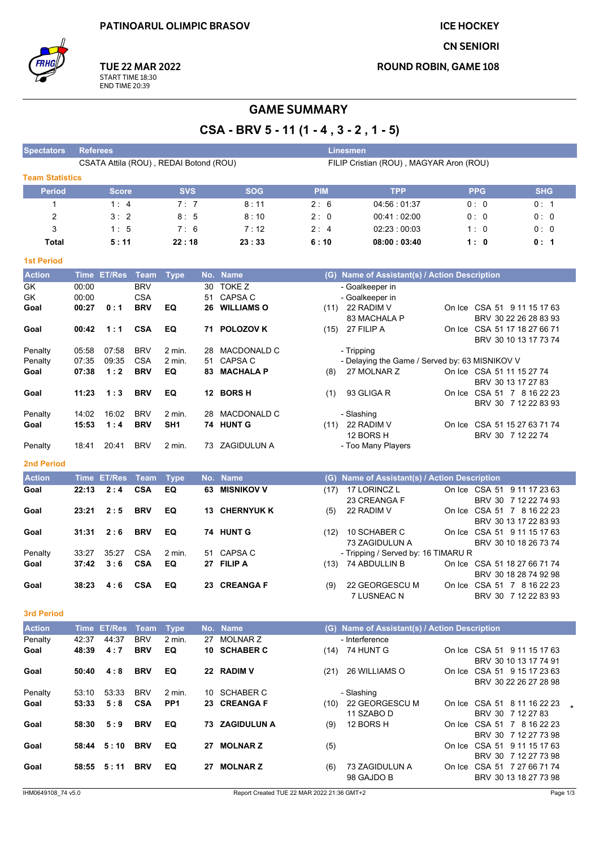**ICE HOCKEY** 

**CN SENIORI** 

**ROUND ROBIN, GAME 108** 

**TUE 22 MAR 2022** START TIME 18:30<br>END TIME 20:39

# **GAME SUMMARY**

CSA - BRV 5 - 11 (1 - 4, 3 - 2, 1 - 5)

| <b>Spectators</b>      | <b>Referees</b>                                                                   |                    |             |                 |     |                    |            | <b>Linesmen</b>                                  |  |                                                      |            |
|------------------------|-----------------------------------------------------------------------------------|--------------------|-------------|-----------------|-----|--------------------|------------|--------------------------------------------------|--|------------------------------------------------------|------------|
|                        | CSATA Attila (ROU), REDAI Botond (ROU)<br>FILIP Cristian (ROU), MAGYAR Aron (ROU) |                    |             |                 |     |                    |            |                                                  |  |                                                      |            |
| <b>Team Statistics</b> |                                                                                   |                    |             |                 |     |                    |            |                                                  |  |                                                      |            |
| <b>Period</b>          |                                                                                   | <b>Score</b>       |             | <b>SVS</b>      |     | <b>SOG</b>         | <b>PIM</b> | <b>TPP</b>                                       |  | <b>PPG</b>                                           | <b>SHG</b> |
| 1                      |                                                                                   | 1:4                |             | 7:7             |     | 8:11               | 2:6        | 04:56:01:37                                      |  | 0:0                                                  | 0: 1       |
|                        |                                                                                   | 3:2                |             | 8:5             |     |                    | 2:0        |                                                  |  | 0: 0                                                 |            |
| $\overline{2}$         |                                                                                   |                    |             |                 |     | 8:10               |            | 00:41:02:00                                      |  |                                                      | 0:0        |
| 3                      |                                                                                   | 1:5                |             | 7:6             |     | 7:12               | 2:4        | 02:23:00:03                                      |  | 1:0                                                  | 0:0        |
| <b>Total</b>           |                                                                                   | 5:11               |             | 22:18           |     | 23:33              | 6:10       | 08:00:03:40                                      |  | 1:0                                                  | 0: 1       |
| <b>1st Period</b>      |                                                                                   |                    |             |                 |     |                    |            |                                                  |  |                                                      |            |
| <b>Action</b>          | Time                                                                              | <b>ET/Res</b>      | <b>Team</b> | <b>Type</b>     |     | No. Name           |            | (G) Name of Assistant(s) / Action Description    |  |                                                      |            |
| GK                     | 00:00                                                                             |                    | <b>BRV</b>  |                 | 30  | TOKE Z             |            | - Goalkeeper in                                  |  |                                                      |            |
| GK                     | 00:00                                                                             |                    | <b>CSA</b>  |                 | 51  | <b>CAPSA C</b>     |            | - Goalkeeper in                                  |  |                                                      |            |
| Goal                   | 00:27                                                                             | 0:1                | <b>BRV</b>  | EQ              | 26  | <b>WILLIAMS O</b>  |            | $(11)$ 22 RADIM V<br>83 MACHALA P                |  | On Ice CSA 51 9 11 15 17 63<br>BRV 30 22 26 28 83 93 |            |
| Goal                   | 00:42                                                                             | 1:1                | <b>CSA</b>  | EQ              | 71  | <b>POLOZOV K</b>   |            | (15) 27 FILIP A                                  |  | On Ice CSA 51 17 18 27 66 71                         |            |
|                        |                                                                                   |                    |             |                 |     |                    |            |                                                  |  | BRV 30 10 13 17 73 74                                |            |
| Penalty                | 05.58                                                                             | 07:58              | <b>BRV</b>  | $2$ min.        | 28  | MACDONALD C        |            | - Tripping                                       |  |                                                      |            |
| Penalty                | 07:35                                                                             | 09:35              | <b>CSA</b>  | $2$ min.        | 51  | CAPSA C            |            | - Delaying the Game / Served by: 63 MISNIKOV V   |  |                                                      |            |
| Goal                   | 07:38                                                                             | 1:2                | <b>BRV</b>  | EQ              | 83  | <b>MACHALA P</b>   | (8)        | 27 MOLNAR Z                                      |  | On Ice CSA 51 11 15 27 74                            |            |
|                        |                                                                                   |                    |             |                 |     |                    |            |                                                  |  | BRV 30 13 17 27 83                                   |            |
| Goal                   | 11:23                                                                             | 1:3                | <b>BRV</b>  | EQ              |     | 12 BORS H          | (1)        | 93 GLIGA R                                       |  | On Ice CSA 51 7 8 16 22 23                           |            |
|                        |                                                                                   |                    |             |                 |     |                    |            |                                                  |  | BRV 30 7 12 22 83 93                                 |            |
| Penalty                | 14:02                                                                             | 16:02              | <b>BRV</b>  | $2$ min.        | 28  | <b>MACDONALD C</b> |            | - Slashing                                       |  |                                                      |            |
| Goal                   | 15:53                                                                             | 1:4                | <b>BRV</b>  | SH <sub>1</sub> |     | 74 HUNT G          |            | $(11)$ 22 RADIM V                                |  | On Ice CSA 51 15 27 63 71 74                         |            |
|                        |                                                                                   |                    |             |                 |     | 73 ZAGIDULUN A     |            | 12 BORS H                                        |  | BRV 30 7 12 22 74                                    |            |
| Penalty                | 18:41                                                                             | 20:41              | <b>BRV</b>  | 2 min.          |     |                    |            | - Too Many Players                               |  |                                                      |            |
| <b>2nd Period</b>      |                                                                                   |                    |             |                 |     |                    |            |                                                  |  |                                                      |            |
| <b>Action</b>          |                                                                                   | <b>Time ET/Res</b> | <b>Team</b> | <b>Type</b>     |     | No. Name           | (G)        | <b>Name of Assistant(s) / Action Description</b> |  |                                                      |            |
| Goal                   | 22:13                                                                             | 2:4                | <b>CSA</b>  | EQ              | 63  | <b>MISNIKOV V</b>  | (17)       | 17 LORINCZ L                                     |  | On Ice CSA 51 9 11 17 23 63                          |            |
|                        |                                                                                   |                    |             |                 |     |                    |            | 23 CREANGA F                                     |  | BRV 30 7 12 22 74 93                                 |            |
| Goal                   | 23:21                                                                             | 2:5                | <b>BRV</b>  | EQ              | 13. | <b>CHERNYUK K</b>  | (5)        | 22 RADIM V                                       |  | On Ice CSA 51 7 8 16 22 23                           |            |
|                        |                                                                                   |                    |             |                 |     |                    |            |                                                  |  | BRV 30 13 17 22 83 93                                |            |
| Goal                   | 31:31                                                                             | 2:6                | <b>BRV</b>  | EQ              |     | 74 HUNT G          | (12)       | 10 SCHABER C                                     |  | On Ice CSA 51 9 11 15 17 63                          |            |
|                        |                                                                                   |                    |             |                 |     |                    |            | 73 ZAGIDULUN A                                   |  | BRV 30 10 18 26 73 74                                |            |
| Penalty                | 33:27                                                                             | 35:27              | <b>CSA</b>  | 2 min.          | 51  | CAPSA C            |            | - Tripping / Served by: 16 TIMARU R              |  |                                                      |            |
| Goal                   | 37:42                                                                             | 3:6                | <b>CSA</b>  | EQ              |     | 27 FILIP A         | (13)       | 74 ABDULLIN B                                    |  | On Ice CSA 51 18 27 66 71 74                         |            |
|                        | 38:23                                                                             | 4:6                | <b>CSA</b>  | EQ              |     | 23 CREANGA F       |            | 22 GEORGESCU M                                   |  | BRV 30 18 28 74 92 98<br>On Ice CSA 51 7 8 16 22 23  |            |
| Goal                   |                                                                                   |                    |             |                 |     |                    | (9)        | 7 LUSNEAC N                                      |  | BRV 30 7 12 22 83 93                                 |            |
|                        |                                                                                   |                    |             |                 |     |                    |            |                                                  |  |                                                      |            |
| <b>3rd Period</b>      |                                                                                   |                    |             |                 |     |                    |            |                                                  |  |                                                      |            |
| <b>Action</b>          | Time                                                                              | <b>ET/Res</b>      | Team        | <b>Type</b>     |     | No. Name           |            | (G) Name of Assistant(s) / Action Description    |  |                                                      |            |
| Penalty                | 42:37                                                                             | 44:37              | <b>BRV</b>  | 2 min.          | 27  | <b>MOLNAR Z</b>    |            | - Interference                                   |  |                                                      |            |
| Goal                   | 48:39                                                                             | 4:7                | <b>BRV</b>  | EQ              |     | 10 SCHABER C       |            | (14) 74 HUNT G                                   |  | On Ice CSA 51 9 11 15 17 63                          |            |
|                        |                                                                                   |                    |             |                 |     |                    |            |                                                  |  | BRV 30 10 13 17 74 91                                |            |
| Goal                   | 50:40                                                                             | 4:8                | <b>BRV</b>  | EQ              |     | 22 RADIM V         |            | (21) 26 WILLIAMS O                               |  | On Ice CSA 51 9 15 17 23 63                          |            |
|                        |                                                                                   |                    |             |                 |     |                    |            |                                                  |  | BRV 30 22 26 27 28 98                                |            |
| Penalty                | 53:10                                                                             | 53:33              | <b>BRV</b>  | 2 min.          |     | 10 SCHABER C       |            | - Slashing                                       |  |                                                      |            |
| Goal                   | 53:33                                                                             | 5:8                | <b>CSA</b>  | PP <sub>1</sub> |     | 23 CREANGA F       |            | (10) 22 GEORGESCU M                              |  | On Ice CSA 51 8 11 16 22 23                          |            |
|                        |                                                                                   |                    |             |                 |     |                    |            | 11 SZABO D                                       |  | BRV 30 7 12 27 83                                    |            |
| Goal                   | 58:30                                                                             | 5:9                | <b>BRV</b>  | EQ              |     | 73 ZAGIDULUN A     | (9)        | 12 BORS H                                        |  | On Ice CSA 51 7 8 16 22 23                           |            |
| Goal                   |                                                                                   |                    | <b>BRV</b>  | EQ              |     | 27 MOLNAR Z        |            |                                                  |  | BRV 30 7 12 27 73 98                                 |            |
|                        |                                                                                   | 58:44 5:10         |             |                 |     |                    | (5)        |                                                  |  | On Ice CSA 51 9 11 15 17 63<br>BRV 30 7 12 27 73 98  |            |
| Goal                   |                                                                                   | 58:55 5:11 BRV     |             | EQ.             |     | 27 MOLNAR Z        |            | $(6)$ 73 ZAGIDUI UN A                            |  | On Ice CSA 51 7 27 66 71 74                          |            |

98 GAJDO B

BRV 30 13 18 27 73 98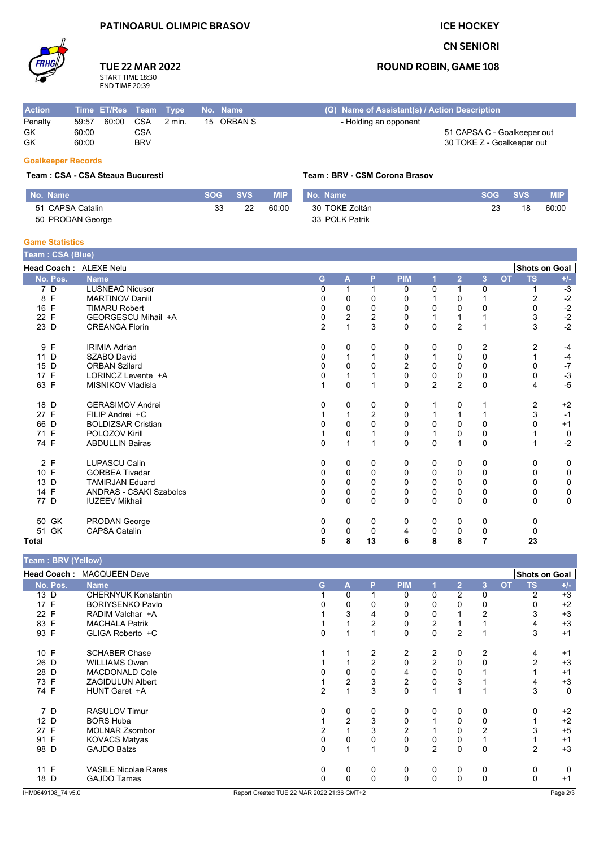## **PATINOARUL OLIMPIC BRASOV**

## **ICE HOCKEY**

### **CN SENIORI**

### **ROUND ROBIN, GAME 108**

# **TUE 22 MAR 2022** START TIME 18:30<br>END TIME 20:39

| <b>Action</b> |       | Time ET/Res Team Type |            |        | No. Name   | (G) Name of Assistant(s) / Action Description |  |  |  |  |
|---------------|-------|-----------------------|------------|--------|------------|-----------------------------------------------|--|--|--|--|
| Penalty       | 59:57 | 60:00 CSA             |            | 2 min. | 15 ORBAN S | - Holding an opponent                         |  |  |  |  |
| GK            | 60:00 |                       | CSA        |        |            | 51 CAPSA C - Goalkeeper out                   |  |  |  |  |
| GK            | 60:00 |                       | <b>BRV</b> |        |            | 30 TOKE Z - Goalkeeper out                    |  |  |  |  |

### **Goalkeeper Records**

#### Team: CSA - CSA Steaua Bucuresti

| No. Name         | <b>SOG</b> | <b>SVS</b> | <b>MIP</b> | No. Name       | SOG A | <b>SVS</b> | <b>MIP</b> |
|------------------|------------|------------|------------|----------------|-------|------------|------------|
| 51 CAPSA Catalin | 33         | 22         | 60:00      | 30 TOKE Zoltán | 23    | 18         | 60:00      |
| 50 PRODAN George |            |            |            | 33 POLK Patrik |       |            |            |

Team: BRV - CSM Corona Brasov

#### **Game Statistics**

| Team: CSA (Blue)                 |                                |                |              |                  |                |                |                |                |           |                      |       |
|----------------------------------|--------------------------------|----------------|--------------|------------------|----------------|----------------|----------------|----------------|-----------|----------------------|-------|
| Head Coach: ALEXE Nelu           |                                |                |              |                  |                |                |                |                |           | <b>Shots on Goal</b> |       |
| No. Pos.                         | <b>Name</b>                    | G              | A            | P                | <b>PIM</b>     |                | $\overline{2}$ | $\overline{3}$ | <b>OT</b> | <b>TS</b>            | $+/-$ |
| $\overline{7}$<br>$\overline{D}$ | <b>LUSNEAC Nicusor</b>         | 0              |              |                  | 0              | 0              |                | 0              |           |                      | $-3$  |
| 8 F                              | <b>MARTINOV Daniil</b>         | 0              | 0            | 0                | 0              |                | 0              |                |           | 2                    | $-2$  |
| 16 F                             | <b>TIMARU Robert</b>           | 0              | 0            | 0                | 0              | 0              | 0              | 0              |           | 0                    | $-2$  |
| 22 F                             | GEORGESCU Mihail +A            | 0              | 2            | $\boldsymbol{2}$ | 0              | 1              |                |                |           | 3                    | $-2$  |
| 23 D                             | <b>CREANGA Florin</b>          | $\overline{2}$ | $\mathbf{1}$ | 3                | 0              | $\mathbf 0$    | $\overline{2}$ | $\overline{1}$ |           | 3                    | $-2$  |
| 9 F                              | <b>IRIMIA Adrian</b>           | 0              | 0            | 0                | 0              | 0              | 0              | 2              |           | 2                    | $-4$  |
| 11 D                             | <b>SZABO David</b>             | 0              | 1            |                  | 0              |                | $\Omega$       | $\mathbf 0$    |           |                      | $-4$  |
| 15 D                             | <b>ORBAN Szilard</b>           | $\Omega$       | 0            | 0                | $\overline{2}$ | 0              | $\Omega$       | $\mathbf 0$    |           | 0                    | $-7$  |
| 17 F                             | LORINCZ Levente +A             | 0              | 1            |                  | $\mathbf 0$    | 0              | 0              | 0              |           | 0                    | $-3$  |
| 63 F                             | MISNIKOV Vladisla              |                | 0            | 1                | $\mathbf{0}$   | $\overline{2}$ | 2              | $\Omega$       |           | 4                    | $-5$  |
| 18 D                             | <b>GERASIMOV Andrei</b>        | 0              | 0            | 0                | 0              |                | 0              |                |           | 2                    | $+2$  |
| 27 F                             | FILIP Andrei +C                |                |              | $\overline{2}$   | 0              |                |                |                |           | 3                    | $-1$  |
| 66 D                             | <b>BOLDIZSAR Cristian</b>      |                | $\Omega$     | $\Omega$         | 0              | $\Omega$       | $\Omega$       | 0              |           | <sup>0</sup>         | $+1$  |
| 71 F                             | POLOZOV Kirill                 |                | 0            |                  | 0              |                | 0              | 0              |           |                      | 0     |
| 74 F                             | <b>ABDULLIN Bairas</b>         | $\Omega$       | $\mathbf{1}$ | 1                | $\Omega$       | $\Omega$       |                | $\Omega$       |           |                      | $-2$  |
| 2 F                              | <b>LUPASCU Calin</b>           | 0              | 0            | 0                | 0              | 0              | 0              | 0              |           | 0                    | 0     |
| 10 F                             | <b>GORBEA Tivadar</b>          |                | 0            | 0                | 0              | 0              | 0              | 0              |           | 0                    | 0     |
| 13 D                             | <b>TAMIRJAN Eduard</b>         | 0              | 0            | 0                | $\mathbf{0}$   | $\Omega$       | $\Omega$       | $\mathbf 0$    |           | $\Omega$             | 0     |
| 14 F                             | <b>ANDRAS - CSAKI Szabolcs</b> | $\Omega$       | 0            | 0                | 0              | 0              | $\Omega$       | 0              |           | 0                    | 0     |
| 77 D                             | <b>IUZEEV Mikhail</b>          | $\Omega$       | 0            | $\Omega$         | 0              | $\Omega$       | $\Omega$       | $\mathbf 0$    |           | 0                    | 0     |
| 50 GK                            | PRODAN George                  | 0              | 0            | 0                | 0              | 0              | $\Omega$       | 0              |           | $\Omega$             |       |
| GK<br>51                         | <b>CAPSA Catalin</b>           | 0              | 0            | 0                | 4              | 0              | $\Omega$       | 0              |           | 0                    |       |
| Total                            |                                | 5              | 8            | 13               | 6              | 8              | 8              | 7              |           | 23                   |       |

| Team : BRV (Yellow) |                             |   |                |                |                |                |                |                |           |                      |       |
|---------------------|-----------------------------|---|----------------|----------------|----------------|----------------|----------------|----------------|-----------|----------------------|-------|
|                     | Head Coach: MACQUEEN Dave   |   |                |                |                |                |                |                |           | <b>Shots on Goal</b> |       |
| No. Pos.            | <b>Name</b>                 | G | A              | P              | <b>PIM</b>     |                | $\overline{2}$ | $\overline{3}$ | <b>OT</b> | <b>TS</b>            | $+/-$ |
| 13 D                | <b>CHERNYUK Konstantin</b>  |   | 0              |                | 0              | $\Omega$       | 2              | 0              |           | 2                    | $+3$  |
| 17 F                | <b>BORIYSENKO Pavlo</b>     |   |                |                |                | 0              |                | 0              |           |                      | $+2$  |
| 22 F                | RADIM Valchar +A            |   | 3              | 4              | 0              | 0              |                | $\overline{2}$ |           |                      | $+3$  |
| 83 F                | <b>MACHALA Patrik</b>       |   |                | 2              | 0              | 2              |                |                |           |                      | $+3$  |
| 93 F                | GLIGA Roberto +C            | 0 |                |                | 0              | 0              | 2              |                |           | 3                    | $+1$  |
| 10 F                | <b>SCHABER Chase</b>        |   |                | 2              | 2              | 2              | 0              | $\overline{2}$ |           | 4                    | $+1$  |
| 26 D                | <b>WILLIAMS Owen</b>        |   |                | $\overline{2}$ | $\Omega$       | 2              | 0              | $\Omega$       |           | 2                    | $+3$  |
| 28 D                | MACDONALD Cole              |   | 0              | $\Omega$       | 4              | 0              |                |                |           |                      | $+1$  |
| 73 F                | <b>ZAGIDULUN Albert</b>     |   | $\overline{2}$ | 3              | $\overline{2}$ | 0              | 3              |                |           |                      | $+3$  |
| 74 F                | HUNT Garet +A               | 2 |                | 3              | 0              | 1              |                |                |           | 3                    | 0     |
| 7 D                 | <b>RASULOV Timur</b>        | 0 | 0              | 0              | 0              | $\Omega$       | 0              | 0              |           |                      | $+2$  |
| 12 D                | <b>BORS Huba</b>            |   | 2              | 3              | 0              |                | 0              | 0              |           |                      | $+2$  |
| 27 F                | <b>MOLNAR Zsombor</b>       |   |                | 3              | 2              |                |                | 2              |           |                      | $+5$  |
| 91 F                | <b>KOVACS Matyas</b>        | 0 | 0              |                | $\mathbf 0$    | 0              | 0              |                |           |                      | $+1$  |
| 98 D                | <b>GAJDO Balzs</b>          | 0 |                |                | $\mathbf 0$    | $\overline{2}$ | 0              | $\mathbf 0$    |           | 2                    | $+3$  |
| 11 F                | <b>VASILE Nicolae Rares</b> | 0 | 0              | 0              | 0              | 0              | 0              | 0              |           | 0                    | 0     |
| 18 D                | <b>GAJDO Tamas</b>          | 0 | $\Omega$       | $\Omega$       | 0              | $\mathbf 0$    | 0              | $\mathbf 0$    |           |                      | $+1$  |